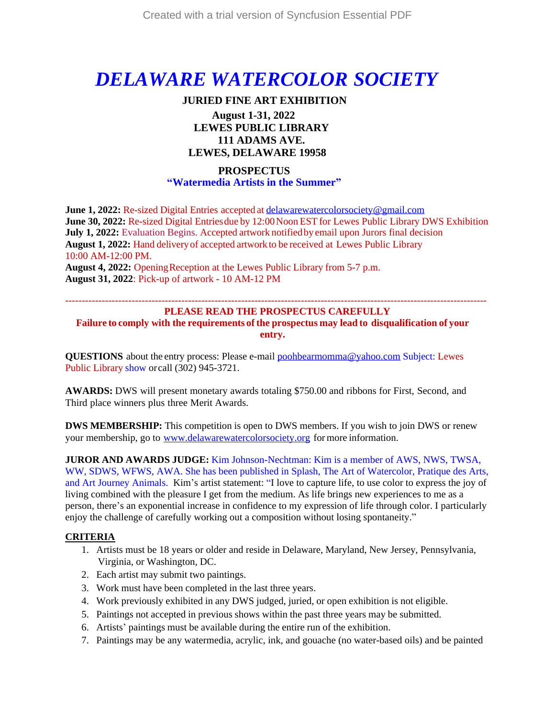# *DELAWARE WATERCOLOR SOCIETY*

### **JURIED FINE ART EXHIBITION August 1-31, 2022 LEWES PUBLIC LIBRARY 111 ADAMS AVE.**

### **LEWES, DELAWARE 19958**

### **PROSPECTUS "Watermedia Artists in the Summer"**

**June 1, 2022:** Re-sized Digital Entries accepted at [delawarewatercolorsociety@gmail.com](mailto:delawarewatercolorsociety@gmail.com) **June 30, 2022: Re-sized Digital Entries due by 12:00 Noon EST for Lewes Public Library DWS Exhibition July 1, 2022:** Evaluation Begins. Accepted artwork notified by email upon Jurors final decision **August 1, 2022:** Hand deliveryof accepted artworkto be received at Lewes Public Library 10:00 AM-12:00 PM.

**August 4, 2022:** OpeningReception at the Lewes Public Library from 5-7 p.m. **August 31, 2022**: Pick-up of artwork - 10 AM-12 PM

#### ------------------------------------------------------------------------------------------------------------------------------- **PLEASE READ THE PROSPECTUS CAREFULLY**

**Failure to comply with the requirements of the prospectus may lead to disqualification of your entry.**

**QUESTIONS** about the entry process: Please e-mail **poohbearmomma@yahoo.com** Subject: Lewes Public Library show orcall (302) 945-3721.

**AWARDS:** DWS will present monetary awards totaling \$750.00 and ribbons for First, Second, and Third place winners plus three Merit Awards.

**DWS MEMBERSHIP:** This competition is open to DWS members. If you wish to join DWS or renew your membership, go to [www.delawarewatercolorsociety.org](http://www.delawarewatercolorsociety.org/) for more information.

**JUROR AND AWARDS JUDGE:** Kim Johnson-Nechtman: Kim is a member of AWS, NWS, TWSA, WW, SDWS, WFWS, AWA. She has been published in Splash, The Art of Watercolor, Pratique des Arts, and Art Journey Animals. Kim's artist statement: "I love to capture life, to use color to express the joy of living combined with the pleasure I get from the medium. As life brings new experiences to me as a person, there's an exponential increase in confidence to my expression of life through color. I particularly enjoy the challenge of carefully working out a composition without losing spontaneity."

### **CRITERIA**

- 1. Artists must be 18 years or older and reside in Delaware, Maryland, New Jersey, Pennsylvania, Virginia, or Washington, DC.
- 2. Each artist may submit two paintings.
- 3. Work must have been completed in the last three years.
- 4. Work previously exhibited in any DWS judged, juried, or open exhibition is not eligible.
- 5. Paintings not accepted in previous shows within the past three years may be submitted.
- 6. Artists' paintings must be available during the entire run of the exhibition.
- 7. Paintings may be any watermedia, acrylic, ink, and gouache (no water-based oils) and be painted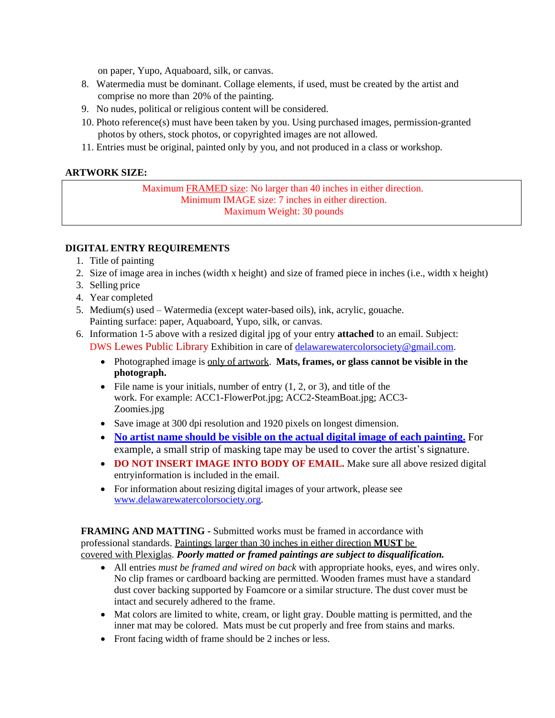on paper, Yupo, Aquaboard, silk, or canvas.

- 8. Watermedia must be dominant. Collage elements, if used, must be created by the artist and comprise no more than 20% of the painting.
- 9. No nudes, political or religious content will be considered.
- 10. Photo reference(s) must have been taken by you. Using purchased images, permission-granted photos by others, stock photos, or copyrighted images are not allowed.
- 11. Entries must be original, painted only by you, and not produced in a class or workshop.

### **ARTWORK SIZE:**

Maximum FRAMED size: No larger than 40 inches in either direction. Minimum IMAGE size: 7 inches in either direction. Maximum Weight: 30 pounds

#### **DIGITAL ENTRY REQUIREMENTS**

- 1. Title of painting
- 2. Size of image area in inches (width x height) and size of framed piece in inches (i.e., width x height)
- 3. Selling price
- 4. Year completed
- 5. Medium(s) used Watermedia (except water-based oils), ink, acrylic, gouache. Painting surface: paper, Aquaboard, Yupo, silk, or canvas.
- 6. Information 1-5 above with a resized digital jpg of your entry **attached** to an email. Subject: DWS Lewes Public Library Exhibition in care of [delawarewatercolorsociety@gmail.com.](mailto:delawarewatercolorsociety@gmail.com)
	- Photographed image is only of artwork. **Mats, frames, or glass cannot be visible in the photograph.**
	- File name is your initials, number of entry  $(1, 2, 0r)$ , and title of the work. For example: ACC1-FlowerPot.jpg; ACC2-SteamBoat.jpg; ACC3- Zoomies.jpg
	- Save image at 300 dpi resolution and 1920 pixels on longest dimension.
	- **No artist name should be visible on the actual digital image of each painting.** For example, a small strip of masking tape may be used to cover the artist's signature.
	- **DO NOT INSERT IMAGE INTO BODY OF EMAIL.** Make sure all above resized digital entryinformation is included in the email.
	- For information about resizing digital images of your artwork, please see [www.delawarewatercolorsociety.org.](http://www.delawarewatercolorsociety.org/)

**FRAMING AND MATTING -** Submitted works must be framed in accordance with professional standards. Paintings larger than 30 inches in either direction **MUST** be covered with Plexiglas. *Poorly matted or framed paintings are subject to disqualification.*

- All entries *must be framed and wired on back* with appropriate hooks, eyes, and wires only. No clip frames or cardboard backing are permitted. Wooden frames must have a standard dust cover backing supported by Foamcore or a similar structure. The dust cover must be intact and securely adhered to the frame.
- Mat colors are limited to white, cream, or light gray. Double matting is permitted, and the inner mat may be colored. Mats must be cut properly and free from stains and marks.
- Front facing width of frame should be 2 inches or less.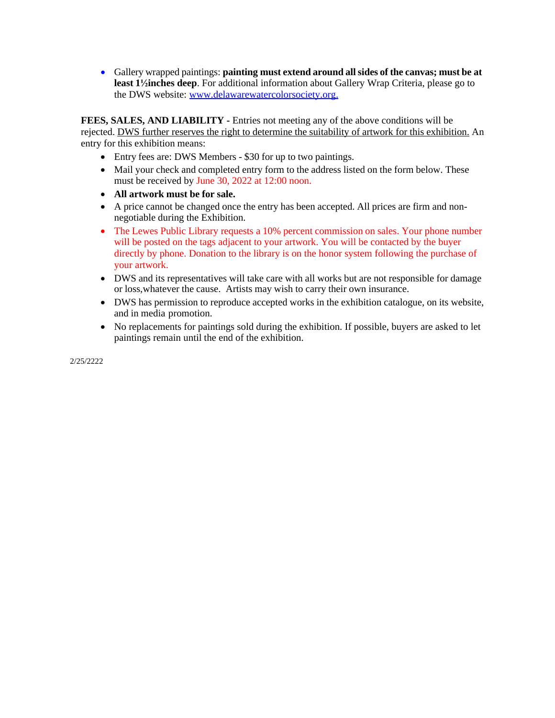Gallery wrapped paintings: **painting must extend around allsides of the canvas; must be at least 1½inches deep**. For additional information about Gallery Wrap Criteria, please go to the DWS website: [www.delawarewatercolorsociety.org.](http://www.delawarewatercolorsociety.org/)

**FEES, SALES, AND LIABILITY** - Entries not meeting any of the above conditions will be rejected. DWS further reserves the right to determine the suitability of artwork for this exhibition. An entry for this exhibition means:

- Entry fees are: DWS Members \$30 for up to two paintings.
- Mail your check and completed entry form to the address listed on the form below. These must be received by June 30, 2022 at 12:00 noon.
- **All artwork must be for sale.**
- A price cannot be changed once the entry has been accepted. All prices are firm and nonnegotiable during the Exhibition.
- The Lewes Public Library requests a 10% percent commission on sales. Your phone number will be posted on the tags adjacent to your artwork. You will be contacted by the buyer directly by phone. Donation to the library is on the honor system following the purchase of your artwork.
- DWS and its representatives will take care with all works but are not responsible for damage or loss,whatever the cause. Artists may wish to carry their own insurance.
- DWS has permission to reproduce accepted works in the exhibition catalogue, on its website, and in media promotion.
- No replacements for paintings sold during the exhibition. If possible, buyers are asked to let paintings remain until the end of the exhibition.

2/25/2222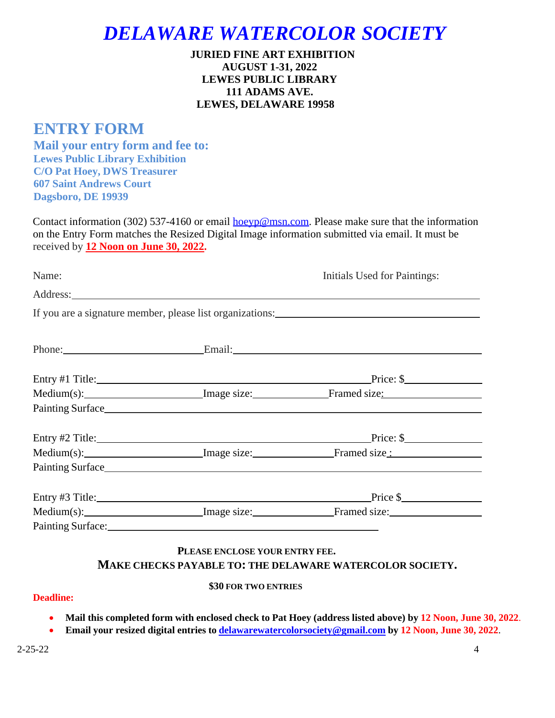## *DELAWARE WATERCOLOR SOCIETY*

### **JURIED FINE ART EXHIBITION AUGUST 1-31, 2022 LEWES PUBLIC LIBRARY 111 ADAMS AVE. LEWES, DELAWARE 19958**

## **ENTRY FORM**

**Mail your entry form and fee to: Lewes Public Library Exhibition C/O Pat Hoey, DWS Treasurer 607 Saint Andrews Court Dagsboro, DE 19939**

Contact information (302) 537-4160 or email  $\underline{hoevp@msn.com}$ . Please make sure that the information on the Entry Form matches the Resized Digital Image information submitted via email. It must be received by **12 Noon on June 30, 2022.**

| Name: |                                                                                                                                                                                                                                | Initials Used for Paintings:                                                      |  |
|-------|--------------------------------------------------------------------------------------------------------------------------------------------------------------------------------------------------------------------------------|-----------------------------------------------------------------------------------|--|
|       |                                                                                                                                                                                                                                |                                                                                   |  |
|       |                                                                                                                                                                                                                                | If you are a signature member, please list organizations:                         |  |
|       |                                                                                                                                                                                                                                | Phone: Email: Email:                                                              |  |
|       |                                                                                                                                                                                                                                | $Price:$ \$                                                                       |  |
|       |                                                                                                                                                                                                                                | Medium(s): Image size: Framed size:                                               |  |
|       |                                                                                                                                                                                                                                |                                                                                   |  |
|       |                                                                                                                                                                                                                                | $Price:$ \$                                                                       |  |
|       |                                                                                                                                                                                                                                | Medium(s): ________________________Image size: _____________________Framed size : |  |
|       |                                                                                                                                                                                                                                |                                                                                   |  |
|       |                                                                                                                                                                                                                                |                                                                                   |  |
|       |                                                                                                                                                                                                                                | Medium(s): Image size: Framed size:                                               |  |
|       | Painting Surface: National Accounts of the Contract of the Contract of the Contract of the Contract of the Contract of the Contract of the Contract of the Contract of the Contract of the Contract of the Contract of the Con |                                                                                   |  |

### **PLEASE ENCLOSE YOUR ENTRY FEE. MAKE CHECKS PAYABLE TO: THE DELAWARE WATERCOLOR SOCIETY.**

### **\$30 FOR TWO ENTRIES**

### **Deadline:**

- Mail this completed form with enclosed check to Pat Hoey (address listed above) by 12 Noon, June 30, 2022.
- **Email your resized digital entries to [delawarewatercolorsociety@gmail.com](mailto:delawarewatercolorsociety@gmail.com) by 12 Noon, June 30, 2022**.